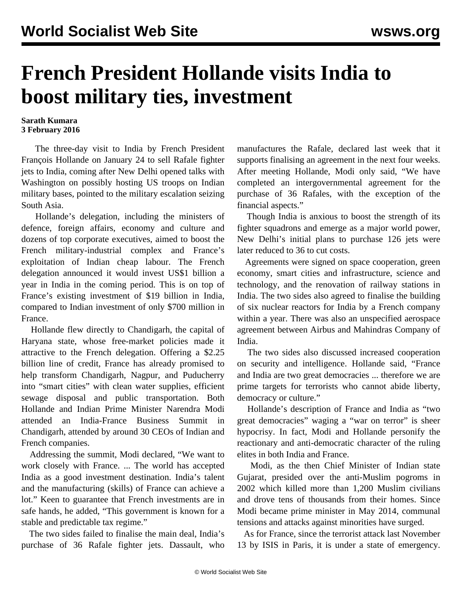## **French President Hollande visits India to boost military ties, investment**

## **Sarath Kumara 3 February 2016**

 The three-day visit to India by French President François Hollande on January 24 to sell Rafale fighter jets to India, coming after New Delhi opened talks with Washington on possibly hosting US troops on Indian military bases, pointed to the military escalation seizing South Asia.

 Hollande's delegation, including the ministers of defence, foreign affairs, economy and culture and dozens of top corporate executives, aimed to boost the French military-industrial complex and France's exploitation of Indian cheap labour. The French delegation announced it would invest US\$1 billion a year in India in the coming period. This is on top of France's existing investment of \$19 billion in India, compared to Indian investment of only \$700 million in France.

 Hollande flew directly to Chandigarh, the capital of Haryana state, whose free-market policies made it attractive to the French delegation. Offering a \$2.25 billion line of credit, France has already promised to help transform Chandigarh, Nagpur, and Puducherry into "smart cities" with clean water supplies, efficient sewage disposal and public transportation. Both Hollande and Indian Prime Minister Narendra Modi attended an India-France Business Summit in Chandigarh, attended by around 30 CEOs of Indian and French companies.

 Addressing the summit, Modi declared, "We want to work closely with France. ... The world has accepted India as a good investment destination. India's talent and the manufacturing (skills) of France can achieve a lot." Keen to guarantee that French investments are in safe hands, he added, "This government is known for a stable and predictable tax regime."

 The two sides failed to finalise the main deal, India's purchase of 36 Rafale fighter jets. Dassault, who manufactures the Rafale, declared last week that it supports finalising an agreement in the next four weeks. After meeting Hollande, Modi only said, "We have completed an intergovernmental agreement for the purchase of 36 Rafales, with the exception of the financial aspects."

 Though India is anxious to boost the strength of its fighter squadrons and emerge as a major world power, New Delhi's initial plans to purchase 126 jets were later reduced to 36 to cut costs.

 Agreements were signed on space cooperation, green economy, smart cities and infrastructure, science and technology, and the renovation of railway stations in India. The two sides also agreed to finalise the building of six nuclear reactors for India by a French company within a year. There was also an unspecified aerospace agreement between Airbus and Mahindras Company of India.

 The two sides also discussed increased cooperation on security and intelligence. Hollande said, "France and India are two great democracies ... therefore we are prime targets for terrorists who cannot abide liberty, democracy or culture."

 Hollande's description of France and India as "two great democracies" waging a "war on terror" is sheer hypocrisy. In fact, Modi and Hollande personify the reactionary and anti-democratic character of the ruling elites in both India and France.

 Modi, as the then Chief Minister of Indian state Gujarat, presided over the anti-Muslim pogroms in 2002 which killed more than 1,200 Muslim civilians and drove tens of thousands from their homes. Since Modi became prime minister in May 2014, communal tensions and attacks against minorities have surged.

 As for France, since the terrorist attack last November 13 by ISIS in Paris, it is under a state of emergency.